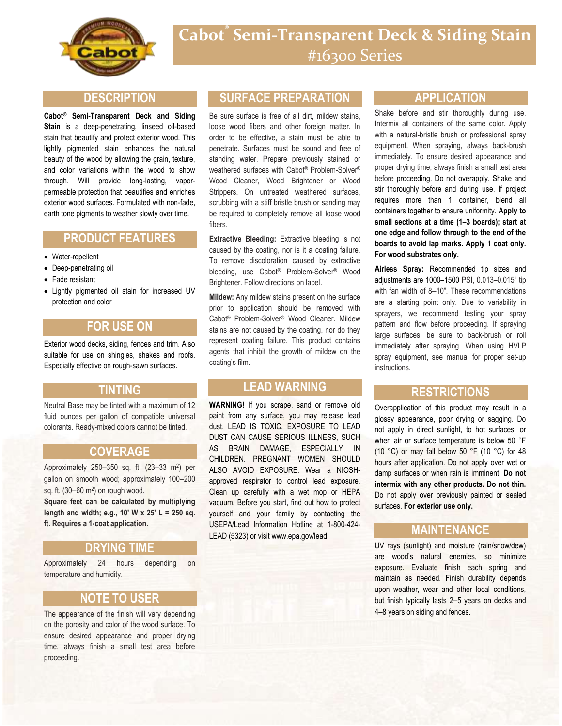

#### **DESCRIPTION**

**Cabot® Semi-Transparent Deck and Siding Stain** is a deep-penetrating, linseed oil-based stain that beautify and protect exterior wood. This lightly pigmented stain enhances the natural beauty of the wood by allowing the grain, texture, and color variations within the wood to show through. Will provide long-lasting, vaporpermeable protection that beautifies and enriches exterior wood surfaces. Formulated with non-fade, earth tone pigments to weather slowly over time.

## **PRODUCT FEATURES**

- Water-repellent
- Deep-penetrating oil
- Fade resistant
- Lightly pigmented oil stain for increased UV protection and color

# **FOR USE ON**

Exterior wood decks, siding, fences and trim. Also suitable for use on shingles, shakes and roofs. Especially effective on rough-sawn surfaces.

#### **TINTING**

Neutral Base may be tinted with a maximum of 12 fluid ounces per gallon of compatible universal colorants. Ready-mixed colors cannot be tinted.

#### **COVERAGE**

Approximately 250-350 sq. ft. (23-33 m<sup>2</sup>) per gallon on smooth wood; approximately 100–200 sq. ft. (30–60 m<sup>2</sup> ) on rough wood.

**Square feet can be calculated by multiplying length and width; e.g., 10' W x 25' L = 250 sq. ft. Requires a 1-coat application.**

#### **DRYING TIME**

Approximately 24 hours depending on temperature and humidity.

### **NOTE TO USER**

The appearance of the finish will vary depending on the porosity and color of the wood surface. To ensure desired appearance and proper drying time, always finish a small test area before proceeding.

## **SURFACE PREPARATION**

Be sure surface is free of all dirt, mildew stains, loose wood fibers and other foreign matter. In order to be effective, a stain must be able to penetrate. Surfaces must be sound and free of standing water. Prepare previously stained or weathered surfaces with Cabot® Problem-Solver® Wood Cleaner, Wood Brightener or Wood Strippers. On untreated weathered surfaces, scrubbing with a stiff bristle brush or sanding may be required to completely remove all loose wood fibers.

**Extractive Bleeding:** Extractive bleeding is not caused by the coating, nor is it a coating failure. To remove discoloration caused by extractive bleeding, use Cabot® Problem-Solver® Wood Brightener. Follow directions on label.

**Mildew:** Any mildew stains present on the surface prior to application should be removed with Cabot® Problem-Solver® Wood Cleaner. Mildew stains are not caused by the coating, nor do they represent coating failure. This product contains agents that inhibit the growth of mildew on the coating's film.

## **LEAD WARNING**

**WARNING!** If you scrape, sand or remove old paint from any surface, you may release lead dust. LEAD IS TOXIC. EXPOSURE TO LEAD DUST CAN CAUSE SERIOUS ILLNESS, SUCH AS BRAIN DAMAGE, ESPECIALLY IN CHILDREN. PREGNANT WOMEN SHOULD ALSO AVOID EXPOSURE. Wear a NIOSHapproved respirator to control lead exposure. Clean up carefully with a wet mop or HEPA vacuum. Before you start, find out how to protect yourself and your family by contacting the USEPA/Lead Information Hotline at 1-800-424- LEAD (5323) or visit www.epa.gov/lead.

#### **APPLICATION**

Shake before and stir thoroughly during use. Intermix all containers of the same color. Apply with a natural-bristle brush or professional spray equipment. When spraying, always back-brush immediately. To ensure desired appearance and proper drying time, always finish a small test area before proceeding. Do not overapply. Shake and stir thoroughly before and during use. If project requires more than 1 container, blend all containers together to ensure uniformity. **Apply to small sections at a time (1–3 boards); start at one edge and follow through to the end of the boards to avoid lap marks. Apply 1 coat only. For wood substrates only.**

**Airless Spray:** Recommended tip sizes and adjustments are 1000–1500 PSI, 0.013–0.015" tip with fan width of 8–10". These recommendations are a starting point only. Due to variability in sprayers, we recommend testing your spray pattern and flow before proceeding. If spraying large surfaces, be sure to back-brush or roll immediately after spraying. When using HVLP spray equipment, see manual for proper set-up instructions.

#### **RESTRICTIONS**

Overapplication of this product may result in a glossy appearance, poor drying or sagging. Do not apply in direct sunlight, to hot surfaces, or when air or surface temperature is below 50 °F (10 °C) or may fall below 50  $\degree$ F (10  $\degree$ C) for 48 hours after application. Do not apply over wet or damp surfaces or when rain is imminent. **Do not intermix with any other products. Do not thin.** Do not apply over previously painted or sealed surfaces. **For exterior use only.**

## **MAINTENANCE**

UV rays (sunlight) and moisture (rain/snow/dew) are wood's natural enemies, so minimize exposure. Evaluate finish each spring and maintain as needed. Finish durability depends upon weather, wear and other local conditions, but finish typically lasts 2–5 years on decks and 4–8 years on siding and fences.